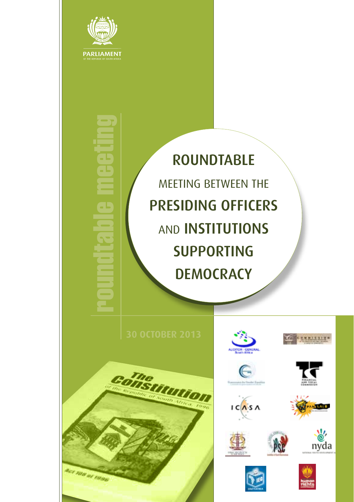

roundtable meeting

Œ

ROUNDTABLE MEETING BETWEEN THE PRESIDING OFFICERS AND INSTITUTIONS SUPPORTING **DEMOCRACY** 













 $IC($ As  $\Lambda$ 







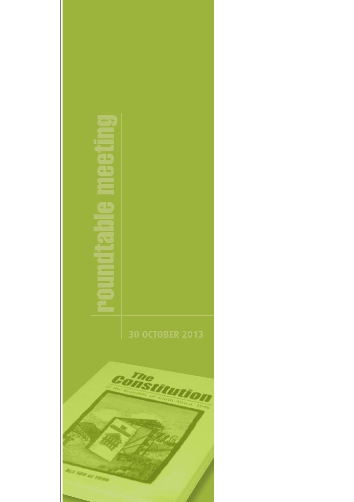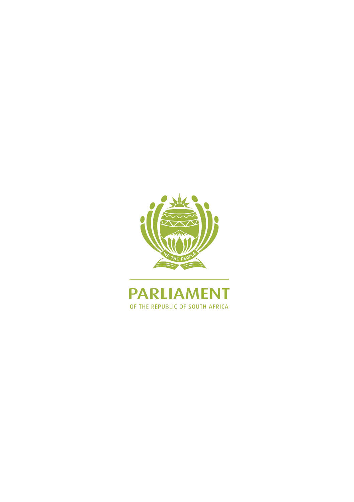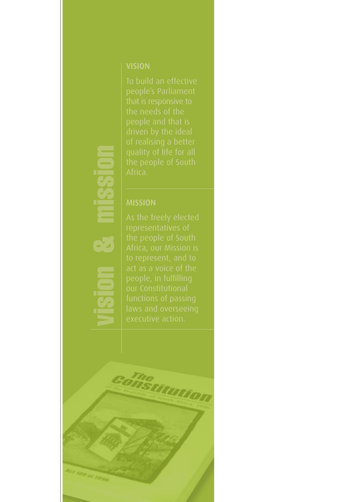# vision & mission

**SHSUUMON**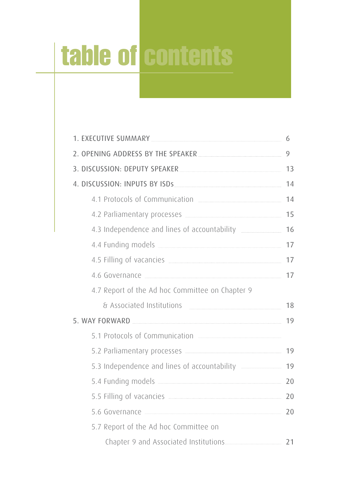# table of contents

| 1. EXECUTIVE SUMMARY MARIED AND STATE SUMMARY                   |  |
|-----------------------------------------------------------------|--|
|                                                                 |  |
| 3. DISCUSSION: DEPUTY SPEAKER                                   |  |
|                                                                 |  |
| 4.1 Protocols of Communication <b>Election</b> 14               |  |
|                                                                 |  |
| 4.3 Independence and lines of accountability _______________ 16 |  |
|                                                                 |  |
|                                                                 |  |
|                                                                 |  |
| 4.7 Report of the Ad hoc Committee on Chapter 9                 |  |
|                                                                 |  |
| 5. WAY FORWARD 19                                               |  |
|                                                                 |  |
|                                                                 |  |
| 5.3 Independence and lines of accountability ______________ 19  |  |
| 5.4 Funding models 20                                           |  |
|                                                                 |  |
| 5.6 Governance 20                                               |  |
| 5.7 Report of the Ad hoc Committee on                           |  |
|                                                                 |  |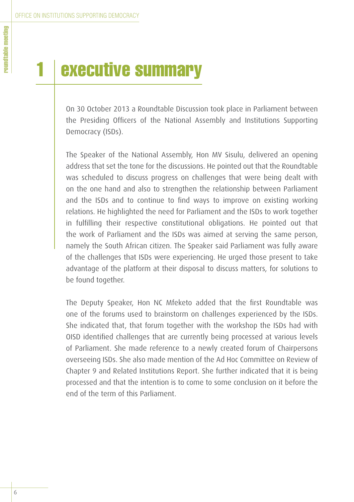# executive summary

On 30 October 2013 a Roundtable Discussion took place in Parliament between the Presiding Officers of the National Assembly and Institutions Supporting Democracy (ISDs).

The Speaker of the National Assembly, Hon MV Sisulu, delivered an opening address that set the tone for the discussions. He pointed out that the Roundtable was scheduled to discuss progress on challenges that were being dealt with on the one hand and also to strengthen the relationship between Parliament and the ISDs and to continue to find ways to improve on existing working relations. He highlighted the need for Parliament and the ISDs to work together in fulfilling their respective constitutional obligations. He pointed out that the work of Parliament and the ISDs was aimed at serving the same person, namely the South African citizen. The Speaker said Parliament was fully aware of the challenges that ISDs were experiencing. He urged those present to take advantage of the platform at their disposal to discuss matters, for solutions to be found together.

The Deputy Speaker, Hon NC Mfeketo added that the first Roundtable was one of the forums used to brainstorm on challenges experienced by the ISDs. She indicated that, that forum together with the workshop the ISDs had with OISD identified challenges that are currently being processed at various levels of Parliament. She made reference to a newly created forum of Chairpersons overseeing ISDs. She also made mention of the Ad Hoc Committee on Review of Chapter 9 and Related Institutions Report. She further indicated that it is being processed and that the intention is to come to some conclusion on it before the end of the term of this Parliament.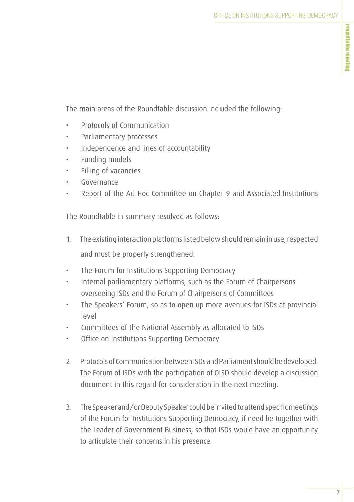The main areas of the Roundtable discussion included the following:

- Protocols of Communication
- Parliamentary processes
- Independence and lines of accountability
- Funding models
- Filling of vacancies
- Governance
- Report of the Ad Hoc Committee on Chapter 9 and Associated Institutions

The Roundtable in summary resolved as follows:

- 1. The existing interaction platforms listed below should remain in use, respected and must be properly strengthened:
- The Forum for Institutions Supporting Democracy
- Internal parliamentary platforms, such as the Forum of Chairpersons overseeing ISDs and the Forum of Chairpersons of Committees
- The Speakers' Forum, so as to open up more avenues for ISDs at provincial level
- Committees of the National Assembly as allocated to ISDs
- Office on Institutions Supporting Democracy
- 2. Protocols of Communication between ISDs and Parliament should be developed. The Forum of ISDs with the participation of OISD should develop a discussion document in this regard for consideration in the next meeting.
- 3. The Speaker and/or Deputy Speaker could be invited to attend specific meetings of the Forum for Institutions Supporting Democracy, if need be together with the Leader of Government Business, so that ISDs would have an opportunity to articulate their concerns in his presence.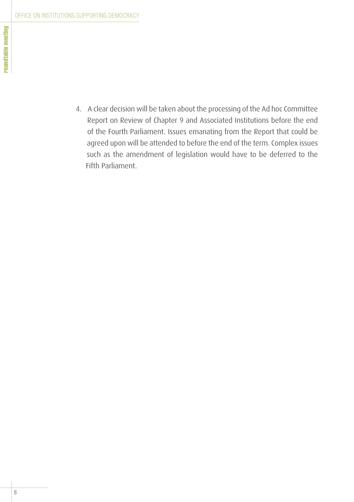4. A clear decision will be taken about the processing of the Ad hoc Committee Report on Review of Chapter 9 and Associated Institutions before the end of the Fourth Parliament. Issues emanating from the Report that could be agreed upon will be attended to before the end of the term. Complex issues such as the amendment of legislation would have to be deferred to the Fifth Parliament.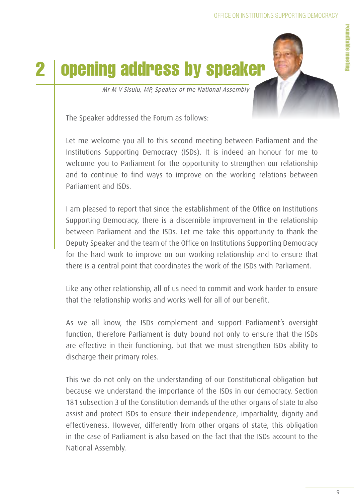roundtable meeting

roundtable meeting



Mr M V Sisulu, MP, Speaker of the National Assembly

The Speaker addressed the Forum as follows:

Let me welcome you all to this second meeting between Parliament and the Institutions Supporting Democracy (ISDs). It is indeed an honour for me to welcome you to Parliament for the opportunity to strengthen our relationship and to continue to find ways to improve on the working relations between Parliament and ISDs.

I am pleased to report that since the establishment of the Office on Institutions Supporting Democracy, there is a discernible improvement in the relationship between Parliament and the ISDs. Let me take this opportunity to thank the Deputy Speaker and the team of the Office on Institutions Supporting Democracy for the hard work to improve on our working relationship and to ensure that there is a central point that coordinates the work of the ISDs with Parliament.

Like any other relationship, all of us need to commit and work harder to ensure that the relationship works and works well for all of our benefit.

As we all know, the ISDs complement and support Parliament's oversight function, therefore Parliament is duty bound not only to ensure that the ISDs are effective in their functioning, but that we must strengthen ISDs ability to discharge their primary roles.

This we do not only on the understanding of our Constitutional obligation but because we understand the importance of the ISDs in our democracy. Section 181 subsection 3 of the Constitution demands of the other organs of state to also assist and protect ISDs to ensure their independence, impartiality, dignity and effectiveness. However, differently from other organs of state, this obligation in the case of Parliament is also based on the fact that the ISDs account to the National Assembly.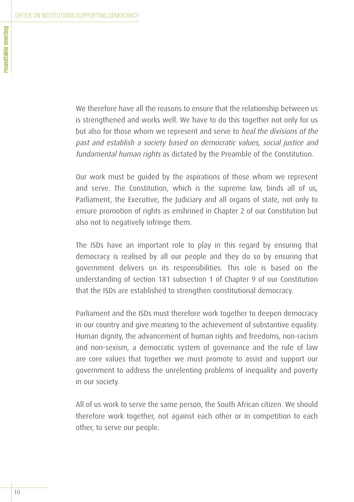We therefore have all the reasons to ensure that the relationship between us is strengthened and works well. We have to do this together not only for us but also for those whom we represent and serve to heal the divisions of the past and establish a society based on democratic values, social justice and fundamental human rights as dictated by the Preamble of the Constitution.

Our work must be guided by the aspirations of those whom we represent and serve. The Constitution, which is the supreme law, binds all of us, Parliament, the Executive, the Judiciary and all organs of state, not only to ensure promotion of rights as enshrined in Chapter 2 of our Constitution but also not to negatively infringe them.

The ISDs have an important role to play in this regard by ensuring that democracy is realised by all our people and they do so by ensuring that government delivers on its responsibilities. This role is based on the understanding of section 181 subsection 1 of Chapter 9 of our Constitution that the ISDs are established to strengthen constitutional democracy.

Parliament and the ISDs must therefore work together to deepen democracy in our country and give meaning to the achievement of substantive equality. Human dignity, the advancement of human rights and freedoms, non-racism and non-sexism, a democratic system of governance and the rule of law are core values that together we must promote to assist and support our government to address the unrelenting problems of inequality and poverty in our society.

All of us work to serve the same person, the South African citizen. We should therefore work together, not against each other or in competition to each other, to serve our people.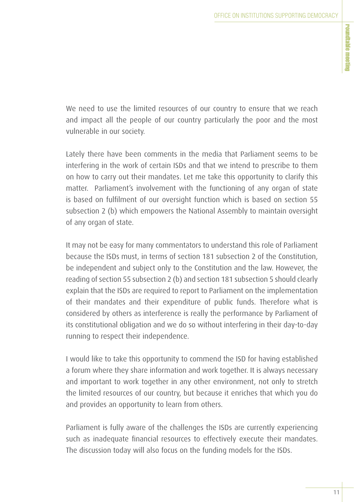We need to use the limited resources of our country to ensure that we reach and impact all the people of our country particularly the poor and the most vulnerable in our society.

Lately there have been comments in the media that Parliament seems to be interfering in the work of certain ISDs and that we intend to prescribe to them on how to carry out their mandates. Let me take this opportunity to clarify this matter. Parliament's involvement with the functioning of any organ of state is based on fulfilment of our oversight function which is based on section 55 subsection 2 (b) which empowers the National Assembly to maintain oversight of any organ of state.

It may not be easy for many commentators to understand this role of Parliament because the ISDs must, in terms of section 181 subsection 2 of the Constitution, be independent and subject only to the Constitution and the law. However, the reading of section 55 subsection 2 (b) and section 181 subsection 5 should clearly explain that the ISDs are required to report to Parliament on the implementation of their mandates and their expenditure of public funds. Therefore what is considered by others as interference is really the performance by Parliament of its constitutional obligation and we do so without interfering in their day-to-day running to respect their independence.

I would like to take this opportunity to commend the ISD for having established a forum where they share information and work together. It is always necessary and important to work together in any other environment, not only to stretch the limited resources of our country, but because it enriches that which you do and provides an opportunity to learn from others.

Parliament is fully aware of the challenges the ISDs are currently experiencing such as inadequate financial resources to effectively execute their mandates. The discussion today will also focus on the funding models for the ISDs.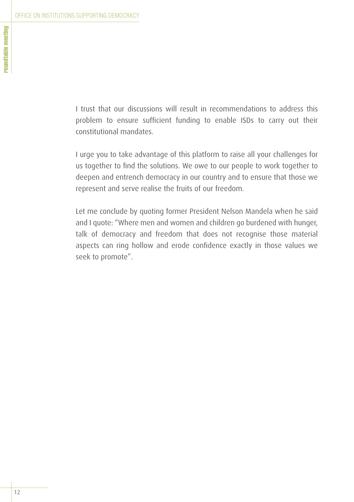I trust that our discussions will result in recommendations to address this problem to ensure sufficient funding to enable ISDs to carry out their constitutional mandates.

I urge you to take advantage of this platform to raise all your challenges for us together to find the solutions. We owe to our people to work together to deepen and entrench democracy in our country and to ensure that those we represent and serve realise the fruits of our freedom.

Let me conclude by quoting former President Nelson Mandela when he said and I quote: "Where men and women and children go burdened with hunger, talk of democracy and freedom that does not recognise those material aspects can ring hollow and erode confidence exactly in those values we seek to promote".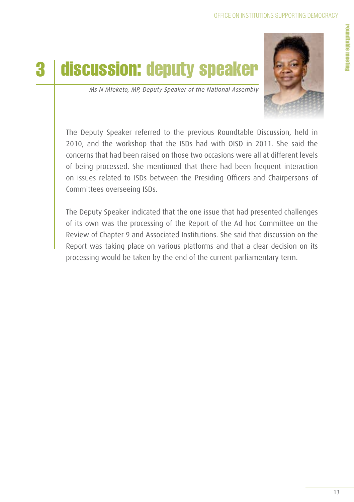# 3 discussion: deputy speaker



Ms N Mfeketo, MP, Deputy Speaker of the National Assembly

The Deputy Speaker referred to the previous Roundtable Discussion, held in 2010, and the workshop that the ISDs had with OISD in 2011. She said the concerns that had been raised on those two occasions were all at different levels of being processed. She mentioned that there had been frequent interaction on issues related to ISDs between the Presiding Officers and Chairpersons of Committees overseeing ISDs.

The Deputy Speaker indicated that the one issue that had presented challenges of its own was the processing of the Report of the Ad hoc Committee on the Review of Chapter 9 and Associated Institutions. She said that discussion on the Report was taking place on various platforms and that a clear decision on its processing would be taken by the end of the current parliamentary term.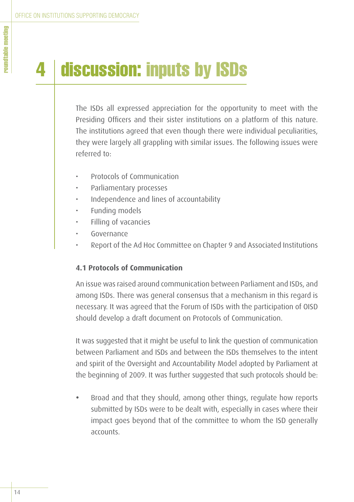# discussion: inputs by ISDs

The ISDs all expressed appreciation for the opportunity to meet with the Presiding Officers and their sister institutions on a platform of this nature. The institutions agreed that even though there were individual peculiarities, they were largely all grappling with similar issues. The following issues were referred to:

- Protocols of Communication
- Parliamentary processes
- Independence and lines of accountability
- Funding models
- Filling of vacancies
- Governance
- Report of the Ad Hoc Committee on Chapter 9 and Associated Institutions

### **4.1 Protocols of Communication**

An issue was raised around communication between Parliament and ISDs, and among ISDs. There was general consensus that a mechanism in this regard is necessary. It was agreed that the Forum of ISDs with the participation of OISD should develop a draft document on Protocols of Communication.

It was suggested that it might be useful to link the question of communication between Parliament and ISDs and between the ISDs themselves to the intent and spirit of the Oversight and Accountability Model adopted by Parliament at the beginning of 2009. It was further suggested that such protocols should be:

Broad and that they should, among other things, regulate how reports submitted by ISDs were to be dealt with, especially in cases where their impact goes beyond that of the committee to whom the ISD generally accounts.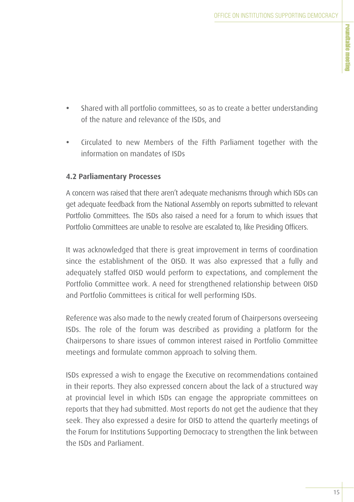- · Shared with all portfolio committees, so as to create a better understanding of the nature and relevance of the ISDs, and
- Circulated to new Members of the Fifth Parliament together with the information on mandates of ISDs

### **4.2 Parliamentary Processes**

A concern was raised that there aren't adequate mechanisms through which ISDs can get adequate feedback from the National Assembly on reports submitted to relevant Portfolio Committees. The ISDs also raised a need for a forum to which issues that Portfolio Committees are unable to resolve are escalated to, like Presiding Officers.

It was acknowledged that there is great improvement in terms of coordination since the establishment of the OISD. It was also expressed that a fully and adequately staffed OISD would perform to expectations, and complement the Portfolio Committee work. A need for strengthened relationship between OISD and Portfolio Committees is critical for well performing ISDs.

Reference was also made to the newly created forum of Chairpersons overseeing ISDs. The role of the forum was described as providing a platform for the Chairpersons to share issues of common interest raised in Portfolio Committee meetings and formulate common approach to solving them.

ISDs expressed a wish to engage the Executive on recommendations contained in their reports. They also expressed concern about the lack of a structured way at provincial level in which ISDs can engage the appropriate committees on reports that they had submitted. Most reports do not get the audience that they seek. They also expressed a desire for OISD to attend the quarterly meetings of the Forum for Institutions Supporting Democracy to strengthen the link between the ISDs and Parliament.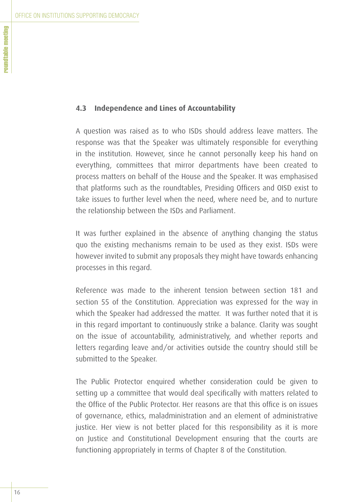### **4.3 Independence and Lines of Accountability**

A question was raised as to who ISDs should address leave matters. The response was that the Speaker was ultimately responsible for everything in the institution. However, since he cannot personally keep his hand on everything, committees that mirror departments have been created to process matters on behalf of the House and the Speaker. It was emphasised that platforms such as the roundtables, Presiding Officers and OISD exist to take issues to further level when the need, where need be, and to nurture the relationship between the ISDs and Parliament.

It was further explained in the absence of anything changing the status quo the existing mechanisms remain to be used as they exist. ISDs were however invited to submit any proposals they might have towards enhancing processes in this regard.

Reference was made to the inherent tension between section 181 and section 55 of the Constitution. Appreciation was expressed for the way in which the Speaker had addressed the matter. It was further noted that it is in this regard important to continuously strike a balance. Clarity was sought on the issue of accountability, administratively, and whether reports and letters regarding leave and/or activities outside the country should still be submitted to the Speaker.

The Public Protector enquired whether consideration could be given to setting up a committee that would deal specifically with matters related to the Office of the Public Protector. Her reasons are that this office is on issues of governance, ethics, maladministration and an element of administrative justice. Her view is not better placed for this responsibility as it is more on Justice and Constitutional Development ensuring that the courts are functioning appropriately in terms of Chapter 8 of the Constitution.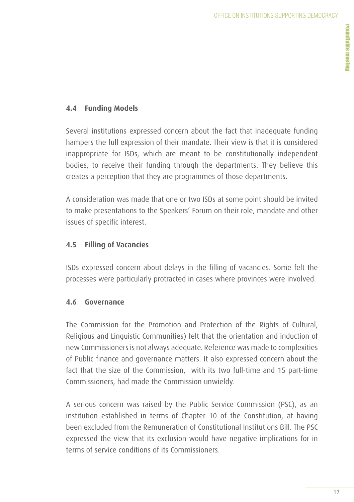## **4.4 Funding Models**

Several institutions expressed concern about the fact that inadequate funding hampers the full expression of their mandate. Their view is that it is considered inappropriate for ISDs, which are meant to be constitutionally independent bodies, to receive their funding through the departments. They believe this creates a perception that they are programmes of those departments.

A consideration was made that one or two ISDs at some point should be invited to make presentations to the Speakers' Forum on their role, mandate and other issues of specific interest.

### **4.5 Filling of Vacancies**

ISDs expressed concern about delays in the filling of vacancies. Some felt the processes were particularly protracted in cases where provinces were involved.

### **4.6 Governance**

The Commission for the Promotion and Protection of the Rights of Cultural, Religious and Linguistic Communities) felt that the orientation and induction of new Commissioners is not always adequate. Reference was made to complexities of Public finance and governance matters. It also expressed concern about the fact that the size of the Commission, with its two full-time and 15 part-time Commissioners, had made the Commission unwieldy.

A serious concern was raised by the Public Service Commission (PSC), as an institution established in terms of Chapter 10 of the Constitution, at having been excluded from the Remuneration of Constitutional Institutions Bill. The PSC expressed the view that its exclusion would have negative implications for in terms of service conditions of its Commissioners.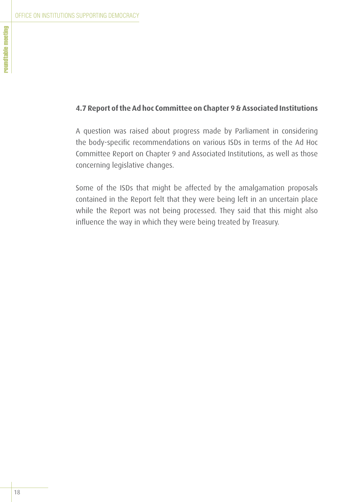### **4.7 Report of the Ad hoc Committee on Chapter 9 & Associated Institutions**

A question was raised about progress made by Parliament in considering the body-specific recommendations on various ISDs in terms of the Ad Hoc Committee Report on Chapter 9 and Associated Institutions, as well as those concerning legislative changes.

Some of the ISDs that might be affected by the amalgamation proposals contained in the Report felt that they were being left in an uncertain place while the Report was not being processed. They said that this might also influence the way in which they were being treated by Treasury.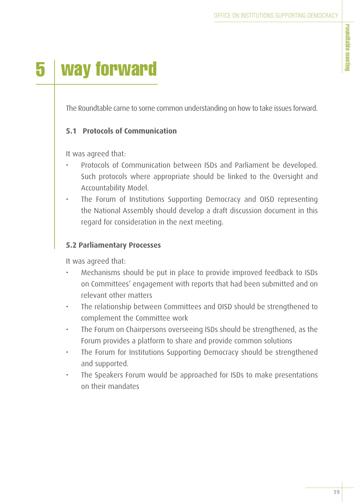# 5 way forward

The Roundtable came to some common understanding on how to take issues forward.

## **5.1 Protocols of Communication**

It was agreed that:

- Protocols of Communication between ISDs and Parliament be developed. Such protocols where appropriate should be linked to the Oversight and Accountability Model.
- The Forum of Institutions Supporting Democracy and OISD representing the National Assembly should develop a draft discussion document in this regard for consideration in the next meeting.

### **5.2 Parliamentary Processes**

It was agreed that:

- Mechanisms should be put in place to provide improved feedback to ISDs on Committees' engagement with reports that had been submitted and on relevant other matters
- The relationship between Committees and OISD should be strengthened to complement the Committee work
- The Forum on Chairpersons overseeing ISDs should be strengthened, as the Forum provides a platform to share and provide common solutions
- The Forum for Institutions Supporting Democracy should be strengthened and supported.
- The Speakers Forum would be approached for ISDs to make presentations on their mandates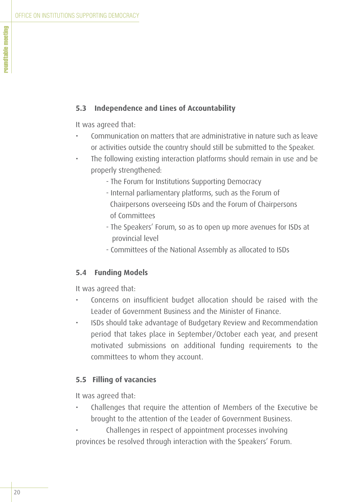### **5.3 Independence and Lines of Accountability**

It was agreed that:

- Communication on matters that are administrative in nature such as leave or activities outside the country should still be submitted to the Speaker.
- The following existing interaction platforms should remain in use and be properly strengthened:
	- The Forum for Institutions Supporting Democracy
	- Internal parliamentary platforms, such as the Forum of Chairpersons overseeing ISDs and the Forum of Chairpersons of Committees
	- The Speakers' Forum, so as to open up more avenues for ISDs at provincial level
	- Committees of the National Assembly as allocated to ISDs

### **5.4 Funding Models**

It was agreed that:

- Concerns on insufficient budget allocation should be raised with the Leader of Government Business and the Minister of Finance.
- ISDs should take advantage of Budgetary Review and Recommendation period that takes place in September/October each year, and present motivated submissions on additional funding requirements to the committees to whom they account.

### **5.5 Filling of vacancies**

It was agreed that:

- Challenges that require the attention of Members of the Executive be brought to the attention of the Leader of Government Business.
- Challenges in respect of appointment processes involving provinces be resolved through interaction with the Speakers' Forum.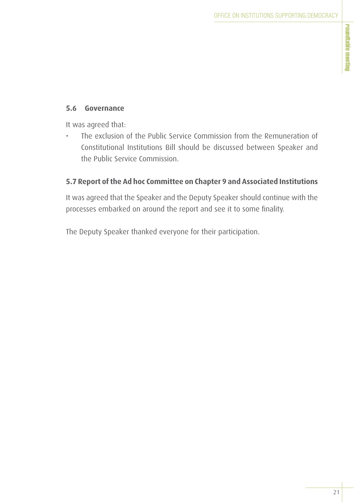### **5.6 Governance**

It was agreed that:

• The exclusion of the Public Service Commission from the Remuneration of Constitutional Institutions Bill should be discussed between Speaker and the Public Service Commission.

## **5.7 Report of the Ad hoc Committee on Chapter 9 and Associated Institutions**

It was agreed that the Speaker and the Deputy Speaker should continue with the processes embarked on around the report and see it to some finality.

The Deputy Speaker thanked everyone for their participation.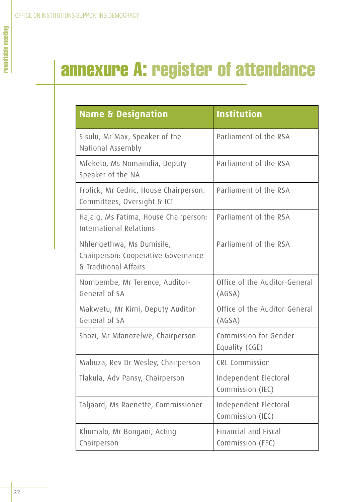# annexure A: register of attendance

| <b>Name &amp; Designation</b>                                                             | <b>Institution</b>                              |
|-------------------------------------------------------------------------------------------|-------------------------------------------------|
| Sisulu, Mr Max, Speaker of the<br>National Assembly                                       | Parliament of the RSA                           |
| Mfeketo, Ms Nomaindia, Deputy<br>Speaker of the NA                                        | Parliament of the RSA                           |
| Frolick, Mr Cedric, House Chairperson:<br>Committees, Oversight & ICT                     | Parliament of the RSA                           |
| Hajaig, Ms Fatima, House Chairperson:<br><b>International Relations</b>                   | Parliament of the RSA                           |
| Nhlengethwa, Ms Dumisile,<br>Chairperson: Cooperative Governance<br>& Traditional Affairs | Parliament of the RSA                           |
| Nombembe, Mr Terence, Auditor-<br>General of SA                                           | Office of the Auditor-General<br>(AGSA)         |
| Makwetu, Mr Kimi, Deputy Auditor-<br>General of SA                                        | Office of the Auditor-General<br>(AGSA)         |
| Shozi, Mr Mfanozelwe, Chairperson                                                         | Commission for Gender<br>Equality (CGE)         |
| Mabuza, Rev Dr Wesley, Chairperson                                                        | CRL Commission                                  |
| Tlakula, Adv Pansy, Chairperson                                                           | Independent Electoral<br>Commission (IEC)       |
| Taljaard, Ms Raenette, Commissioner                                                       | Independent Electoral<br>Commission (IEC)       |
| Khumalo, Mr Bongani, Acting<br>Chairperson                                                | <b>Financial and Fiscal</b><br>Commission (FFC) |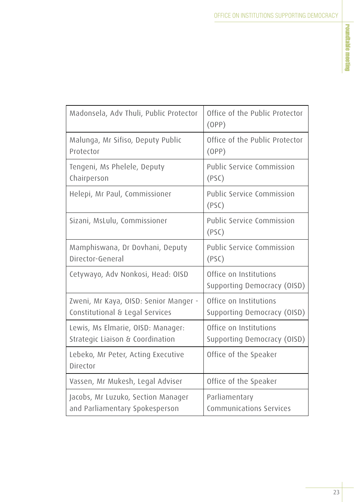| Madonsela, Adv Thuli, Public Protector                                   | Office of the Public Protector<br>(OPP)               |
|--------------------------------------------------------------------------|-------------------------------------------------------|
| Malunga, Mr Sifiso, Deputy Public<br>Protector                           | Office of the Public Protector<br>(OPP)               |
| Tengeni, Ms Phelele, Deputy<br>Chairperson                               | Public Service Commission<br>(PSC)                    |
| Helepi, Mr Paul, Commissioner                                            | Public Service Commission<br>(PSC)                    |
| Sizani, MsLulu, Commissioner                                             | Public Service Commission<br>(PSC)                    |
| Mamphiswana, Dr Dovhani, Deputy<br>Director-General                      | Public Service Commission<br>(PSC)                    |
| Cetywayo, Adv Nonkosi, Head: OISD                                        | Office on Institutions<br>Supporting Democracy (OISD) |
| Zweni, Mr Kaya, OISD: Senior Manger -<br>Constitutional & Legal Services | Office on Institutions<br>Supporting Democracy (OISD) |
| Lewis, Ms Elmarie, OISD: Manager:<br>Strategic Liaison & Coordination    | Office on Institutions<br>Supporting Democracy (OISD) |
| Lebeko, Mr Peter, Acting Executive<br>Director                           | Office of the Speaker                                 |
| Vassen, Mr Mukesh, Legal Adviser                                         | Office of the Speaker                                 |
| Jacobs, Mr Luzuko, Section Manager<br>and Parliamentary Spokesperson     | Parliamentary<br>Communications Services              |